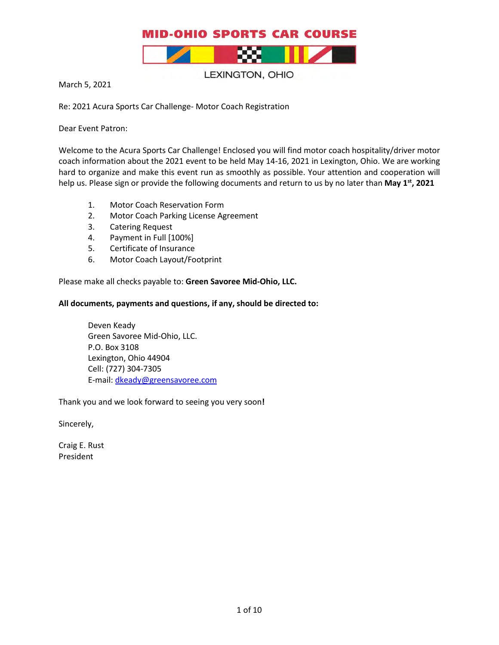

LEXINGTON, OHIO

March 5, 2021

Re: 2021 Acura Sports Car Challenge- Motor Coach Registration

Dear Event Patron:

Welcome to the Acura Sports Car Challenge! Enclosed you will find motor coach hospitality/driver motor coach information about the 2021 event to be held May 14-16, 2021 in Lexington, Ohio. We are working hard to organize and make this event run as smoothly as possible. Your attention and cooperation will help us. Please sign or provide the following documents and return to us by no later than May 1<sup>st</sup>, 2021

- 1. Motor Coach Reservation Form
- 2. Motor Coach Parking License Agreement
- 3. Catering Request
- 4. Payment in Full [100%]
- 5. Certificate of Insurance
- 6. Motor Coach Layout/Footprint

Please make all checks payable to: **Green Savoree Mid-Ohio, LLC.**

#### **All documents, payments and questions, if any, should be directed to:**

Deven Keady Green Savoree Mid-Ohio, LLC. P.O. Box 3108 Lexington, Ohio 44904 Cell: (727) 304-7305 E-mail: [dkeady@greensavoree.com](mailto:dkeady@greensavoree.com) 

Thank you and we look forward to seeing you very soon**!** 

Sincerely,

Craig E. Rust President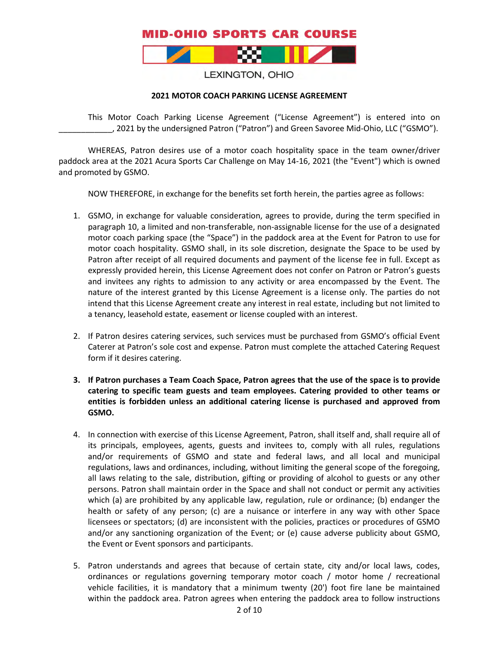

#### LEXINGTON, OHIO

#### **2021 MOTOR COACH PARKING LICENSE AGREEMENT**

This Motor Coach Parking License Agreement ("License Agreement") is entered into on \_\_\_\_\_\_\_\_\_\_\_\_, 2021 by the undersigned Patron ("Patron") and Green Savoree Mid-Ohio, LLC ("GSMO").

WHEREAS, Patron desires use of a motor coach hospitality space in the team owner/driver paddock area at the 2021 Acura Sports Car Challenge on May 14-16, 2021 (the "Event") which is owned and promoted by GSMO.

NOW THEREFORE, in exchange for the benefits set forth herein, the parties agree as follows:

- 1. GSMO, in exchange for valuable consideration, agrees to provide, during the term specified in paragraph 10, a limited and non-transferable, non-assignable license for the use of a designated motor coach parking space (the "Space") in the paddock area at the Event for Patron to use for motor coach hospitality. GSMO shall, in its sole discretion, designate the Space to be used by Patron after receipt of all required documents and payment of the license fee in full. Except as expressly provided herein, this License Agreement does not confer on Patron or Patron's guests and invitees any rights to admission to any activity or area encompassed by the Event. The nature of the interest granted by this License Agreement is a license only. The parties do not intend that this License Agreement create any interest in real estate, including but not limited to a tenancy, leasehold estate, easement or license coupled with an interest.
- 2. If Patron desires catering services, such services must be purchased from GSMO's official Event Caterer at Patron's sole cost and expense. Patron must complete the attached Catering Request form if it desires catering.
- **3. If Patron purchases a Team Coach Space, Patron agrees that the use of the space is to provide catering to specific team guests and team employees. Catering provided to other teams or entities is forbidden unless an additional catering license is purchased and approved from GSMO.**
- 4. In connection with exercise of this License Agreement, Patron, shall itself and, shall require all of its principals, employees, agents, guests and invitees to, comply with all rules, regulations and/or requirements of GSMO and state and federal laws, and all local and municipal regulations, laws and ordinances, including, without limiting the general scope of the foregoing, all laws relating to the sale, distribution, gifting or providing of alcohol to guests or any other persons. Patron shall maintain order in the Space and shall not conduct or permit any activities which (a) are prohibited by any applicable law, regulation, rule or ordinance; (b) endanger the health or safety of any person; (c) are a nuisance or interfere in any way with other Space licensees or spectators; (d) are inconsistent with the policies, practices or procedures of GSMO and/or any sanctioning organization of the Event; or (e) cause adverse publicity about GSMO, the Event or Event sponsors and participants.
- 5. Patron understands and agrees that because of certain state, city and/or local laws, codes, ordinances or regulations governing temporary motor coach / motor home / recreational vehicle facilities, it is mandatory that a minimum twenty (20') foot fire lane be maintained within the paddock area. Patron agrees when entering the paddock area to follow instructions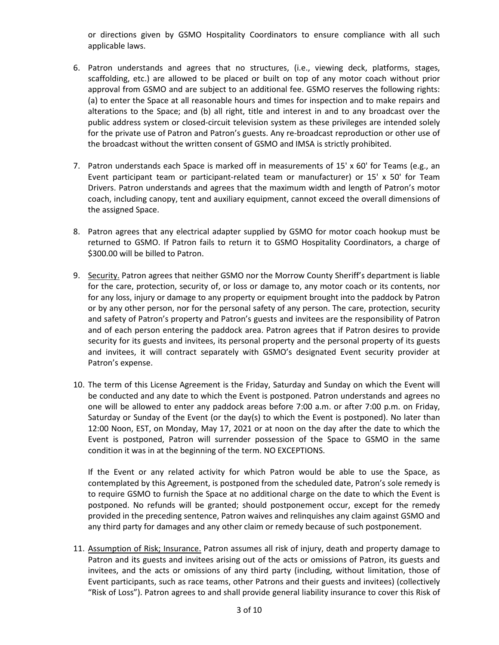or directions given by GSMO Hospitality Coordinators to ensure compliance with all such applicable laws.

- 6. Patron understands and agrees that no structures, (i.e., viewing deck, platforms, stages, scaffolding, etc.) are allowed to be placed or built on top of any motor coach without prior approval from GSMO and are subject to an additional fee. GSMO reserves the following rights: (a) to enter the Space at all reasonable hours and times for inspection and to make repairs and alterations to the Space; and (b) all right, title and interest in and to any broadcast over the public address system or closed-circuit television system as these privileges are intended solely for the private use of Patron and Patron's guests. Any re-broadcast reproduction or other use of the broadcast without the written consent of GSMO and IMSA is strictly prohibited.
- 7. Patron understands each Space is marked off in measurements of 15' x 60' for Teams (e.g., an Event participant team or participant-related team or manufacturer) or 15' x 50' for Team Drivers. Patron understands and agrees that the maximum width and length of Patron's motor coach, including canopy, tent and auxiliary equipment, cannot exceed the overall dimensions of the assigned Space.
- 8. Patron agrees that any electrical adapter supplied by GSMO for motor coach hookup must be returned to GSMO. If Patron fails to return it to GSMO Hospitality Coordinators, a charge of \$300.00 will be billed to Patron.
- 9. Security. Patron agrees that neither GSMO nor the Morrow County Sheriff's department is liable for the care, protection, security of, or loss or damage to, any motor coach or its contents, nor for any loss, injury or damage to any property or equipment brought into the paddock by Patron or by any other person, nor for the personal safety of any person. The care, protection, security and safety of Patron's property and Patron's guests and invitees are the responsibility of Patron and of each person entering the paddock area. Patron agrees that if Patron desires to provide security for its guests and invitees, its personal property and the personal property of its guests and invitees, it will contract separately with GSMO's designated Event security provider at Patron's expense.
- 10. The term of this License Agreement is the Friday, Saturday and Sunday on which the Event will be conducted and any date to which the Event is postponed. Patron understands and agrees no one will be allowed to enter any paddock areas before 7:00 a.m. or after 7:00 p.m. on Friday, Saturday or Sunday of the Event (or the day(s) to which the Event is postponed). No later than 12:00 Noon, EST, on Monday, May 17, 2021 or at noon on the day after the date to which the Event is postponed, Patron will surrender possession of the Space to GSMO in the same condition it was in at the beginning of the term. NO EXCEPTIONS.

If the Event or any related activity for which Patron would be able to use the Space, as contemplated by this Agreement, is postponed from the scheduled date, Patron's sole remedy is to require GSMO to furnish the Space at no additional charge on the date to which the Event is postponed. No refunds will be granted; should postponement occur, except for the remedy provided in the preceding sentence, Patron waives and relinquishes any claim against GSMO and any third party for damages and any other claim or remedy because of such postponement.

11. Assumption of Risk; Insurance. Patron assumes all risk of injury, death and property damage to Patron and its guests and invitees arising out of the acts or omissions of Patron, its guests and invitees, and the acts or omissions of any third party (including, without limitation, those of Event participants, such as race teams, other Patrons and their guests and invitees) (collectively "Risk of Loss"). Patron agrees to and shall provide general liability insurance to cover this Risk of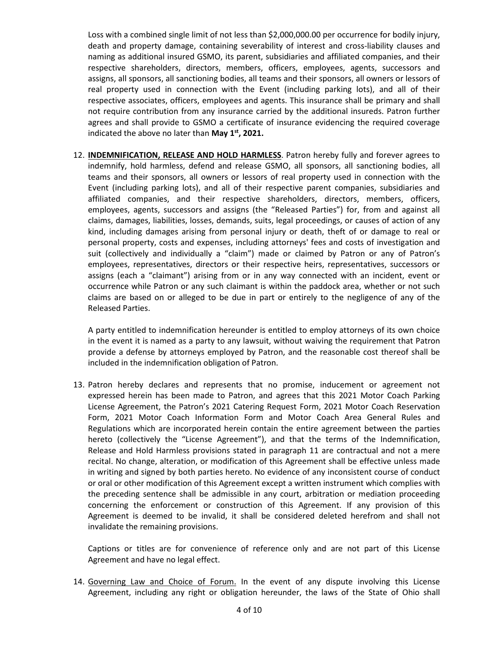Loss with a combined single limit of not less than \$2,000,000.00 per occurrence for bodily injury, death and property damage, containing severability of interest and cross-liability clauses and naming as additional insured GSMO, its parent, subsidiaries and affiliated companies, and their respective shareholders, directors, members, officers, employees, agents, successors and assigns, all sponsors, all sanctioning bodies, all teams and their sponsors, all owners or lessors of real property used in connection with the Event (including parking lots), and all of their respective associates, officers, employees and agents. This insurance shall be primary and shall not require contribution from any insurance carried by the additional insureds. Patron further agrees and shall provide to GSMO a certificate of insurance evidencing the required coverage indicated the above no later than **May 1st, 2021.**

12. **INDEMNIFICATION, RELEASE AND HOLD HARMLESS**. Patron hereby fully and forever agrees to indemnify, hold harmless, defend and release GSMO, all sponsors, all sanctioning bodies, all teams and their sponsors, all owners or lessors of real property used in connection with the Event (including parking lots), and all of their respective parent companies, subsidiaries and affiliated companies, and their respective shareholders, directors, members, officers, employees, agents, successors and assigns (the "Released Parties") for, from and against all claims, damages, liabilities, losses, demands, suits, legal proceedings, or causes of action of any kind, including damages arising from personal injury or death, theft of or damage to real or personal property, costs and expenses, including attorneys' fees and costs of investigation and suit (collectively and individually a "claim") made or claimed by Patron or any of Patron's employees, representatives, directors or their respective heirs, representatives, successors or assigns (each a "claimant") arising from or in any way connected with an incident, event or occurrence while Patron or any such claimant is within the paddock area, whether or not such claims are based on or alleged to be due in part or entirely to the negligence of any of the Released Parties.

A party entitled to indemnification hereunder is entitled to employ attorneys of its own choice in the event it is named as a party to any lawsuit, without waiving the requirement that Patron provide a defense by attorneys employed by Patron, and the reasonable cost thereof shall be included in the indemnification obligation of Patron.

13. Patron hereby declares and represents that no promise, inducement or agreement not expressed herein has been made to Patron, and agrees that this 2021 Motor Coach Parking License Agreement, the Patron's 2021 Catering Request Form, 2021 Motor Coach Reservation Form, 2021 Motor Coach Information Form and Motor Coach Area General Rules and Regulations which are incorporated herein contain the entire agreement between the parties hereto (collectively the "License Agreement"), and that the terms of the Indemnification, Release and Hold Harmless provisions stated in paragraph 11 are contractual and not a mere recital. No change, alteration, or modification of this Agreement shall be effective unless made in writing and signed by both parties hereto. No evidence of any inconsistent course of conduct or oral or other modification of this Agreement except a written instrument which complies with the preceding sentence shall be admissible in any court, arbitration or mediation proceeding concerning the enforcement or construction of this Agreement. If any provision of this Agreement is deemed to be invalid, it shall be considered deleted herefrom and shall not invalidate the remaining provisions.

Captions or titles are for convenience of reference only and are not part of this License Agreement and have no legal effect.

14. Governing Law and Choice of Forum. In the event of any dispute involving this License Agreement, including any right or obligation hereunder, the laws of the State of Ohio shall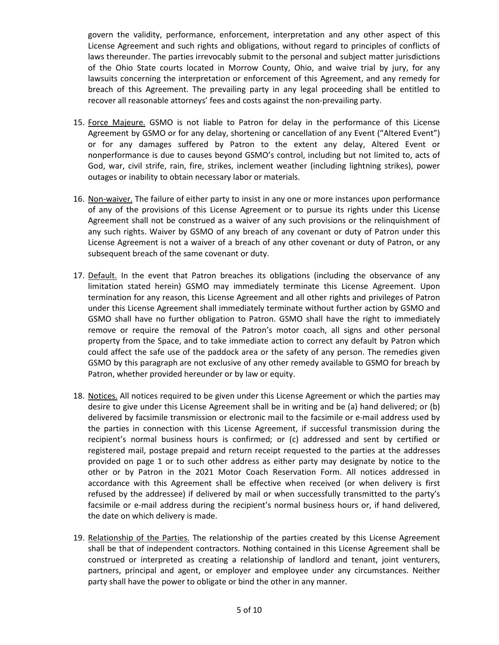govern the validity, performance, enforcement, interpretation and any other aspect of this License Agreement and such rights and obligations, without regard to principles of conflicts of laws thereunder. The parties irrevocably submit to the personal and subject matter jurisdictions of the Ohio State courts located in Morrow County, Ohio, and waive trial by jury, for any lawsuits concerning the interpretation or enforcement of this Agreement, and any remedy for breach of this Agreement. The prevailing party in any legal proceeding shall be entitled to recover all reasonable attorneys' fees and costs against the non-prevailing party.

- 15. Force Majeure. GSMO is not liable to Patron for delay in the performance of this License Agreement by GSMO or for any delay, shortening or cancellation of any Event ("Altered Event") or for any damages suffered by Patron to the extent any delay, Altered Event or nonperformance is due to causes beyond GSMO's control, including but not limited to, acts of God, war, civil strife, rain, fire, strikes, inclement weather (including lightning strikes), power outages or inability to obtain necessary labor or materials.
- 16. Non-waiver. The failure of either party to insist in any one or more instances upon performance of any of the provisions of this License Agreement or to pursue its rights under this License Agreement shall not be construed as a waiver of any such provisions or the relinquishment of any such rights. Waiver by GSMO of any breach of any covenant or duty of Patron under this License Agreement is not a waiver of a breach of any other covenant or duty of Patron, or any subsequent breach of the same covenant or duty.
- 17. Default. In the event that Patron breaches its obligations (including the observance of any limitation stated herein) GSMO may immediately terminate this License Agreement. Upon termination for any reason, this License Agreement and all other rights and privileges of Patron under this License Agreement shall immediately terminate without further action by GSMO and GSMO shall have no further obligation to Patron. GSMO shall have the right to immediately remove or require the removal of the Patron's motor coach, all signs and other personal property from the Space, and to take immediate action to correct any default by Patron which could affect the safe use of the paddock area or the safety of any person. The remedies given GSMO by this paragraph are not exclusive of any other remedy available to GSMO for breach by Patron, whether provided hereunder or by law or equity.
- 18. Notices. All notices required to be given under this License Agreement or which the parties may desire to give under this License Agreement shall be in writing and be (a) hand delivered; or (b) delivered by facsimile transmission or electronic mail to the facsimile or e-mail address used by the parties in connection with this License Agreement, if successful transmission during the recipient's normal business hours is confirmed; or (c) addressed and sent by certified or registered mail, postage prepaid and return receipt requested to the parties at the addresses provided on page 1 or to such other address as either party may designate by notice to the other or by Patron in the 2021 Motor Coach Reservation Form. All notices addressed in accordance with this Agreement shall be effective when received (or when delivery is first refused by the addressee) if delivered by mail or when successfully transmitted to the party's facsimile or e-mail address during the recipient's normal business hours or, if hand delivered, the date on which delivery is made.
- 19. Relationship of the Parties. The relationship of the parties created by this License Agreement shall be that of independent contractors. Nothing contained in this License Agreement shall be construed or interpreted as creating a relationship of landlord and tenant, joint venturers, partners, principal and agent, or employer and employee under any circumstances. Neither party shall have the power to obligate or bind the other in any manner.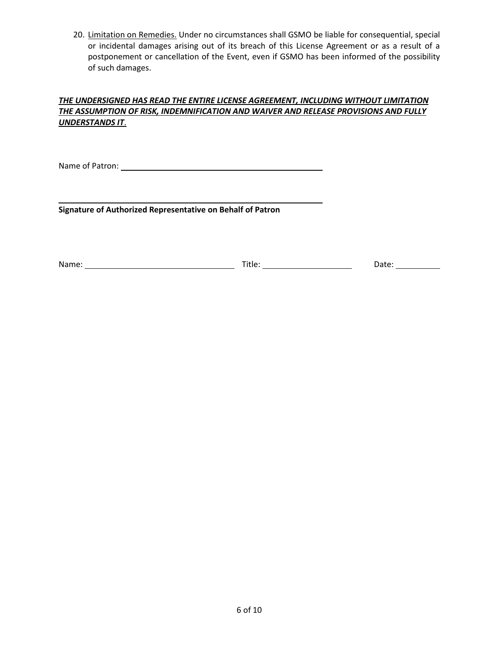20. Limitation on Remedies. Under no circumstances shall GSMO be liable for consequential, special or incidental damages arising out of its breach of this License Agreement or as a result of a postponement or cancellation of the Event, even if GSMO has been informed of the possibility of such damages.

### *THE UNDERSIGNED HAS READ THE ENTIRE LICENSE AGREEMENT, INCLUDING WITHOUT LIMITATION THE ASSUMPTION OF RISK, INDEMNIFICATION AND WAIVER AND RELEASE PROVISIONS AND FULLY UNDERSTANDS IT*.

Name of Patron:

**Signature of Authorized Representative on Behalf of Patron**

Name: Name: Name: Name: Name: Name: Name: Name: Date: Name: Date: Name: Date: Name: Name: Name: Name: Name: Name: Name: Name: Name: Name: Name: Name: Name: Name: Name: Name: Name: Name: Name: Name: Name: Name: Name: Name: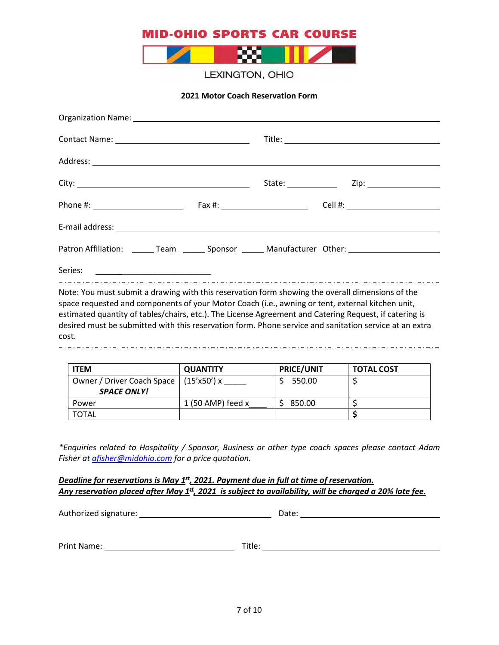

LEXINGTON, OHIO

**2021 Motor Coach Reservation Form**

| Patron Affiliation: _______ Team _______ Sponsor ______ Manufacturer Other: _______________________                                                                                                                                                                                                                                                                                                                               |  |  |
|-----------------------------------------------------------------------------------------------------------------------------------------------------------------------------------------------------------------------------------------------------------------------------------------------------------------------------------------------------------------------------------------------------------------------------------|--|--|
|                                                                                                                                                                                                                                                                                                                                                                                                                                   |  |  |
| Note: You must submit a drawing with this reservation form showing the overall dimensions of the<br>space requested and components of your Motor Coach (i.e., awning or tent, external kitchen unit,<br>estimated quantity of tables/chairs, etc.). The License Agreement and Catering Request, if catering is<br>desired must be submitted with this reservation form. Phone service and sanitation service at an extra<br>cost. |  |  |

| <b>ITEM</b>                                        | <b>QUANTITY</b>     | <b>PRICE/UNIT</b> | <b>TOTAL COST</b> |
|----------------------------------------------------|---------------------|-------------------|-------------------|
| Owner / Driver Coach Space  <br><b>SPACE ONLY!</b> | (15'x50')x          | 550.00            |                   |
| Power                                              | 1 (50 AMP) feed $x$ | 850.00            |                   |
| <b>TOTAL</b>                                       |                     |                   |                   |

*\*Enquiries related to Hospitality / Sponsor, Business or other type coach spaces please contact Adam Fisher at [afisher@midohio.com](mailto:afisher@midohio.com) for a price quotation.*

#### *Deadline for reservations is May 1<sup>st</sup>, 2021. Payment due in full at time of reservation. Any reservation placed after May 1st, 2021 is subject to availability, will be charged a 20% late fee.*

Authorized signature: Date: Print Name: Title: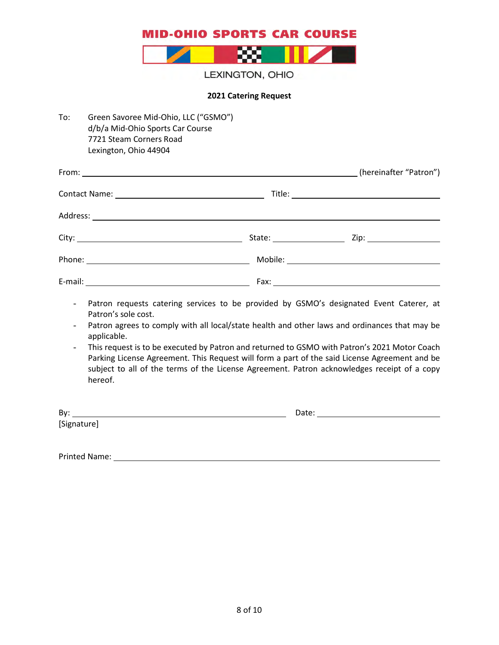

LEXINGTON, OHIO

#### **2021 Catering Request**

| To: | Green Savoree Mid-Ohio, LLC ("GSMO")<br>d/b/a Mid-Ohio Sports Car Course<br>7721 Steam Corners Road<br>Lexington, Ohio 44904 |  |
|-----|------------------------------------------------------------------------------------------------------------------------------|--|
|     |                                                                                                                              |  |
|     |                                                                                                                              |  |
|     |                                                                                                                              |  |
|     |                                                                                                                              |  |
|     |                                                                                                                              |  |
|     |                                                                                                                              |  |
|     | Datron requests satering senvices to be provided by CSMO's designated Event Cateror at                                       |  |

- Patron requests catering services to be provided by GSMO's designated Event Caterer, at Patron's sole cost.
- Patron agrees to comply with all local/state health and other laws and ordinances that may be applicable.
- This request is to be executed by Patron and returned to GSMO with Patron's 2021 Motor Coach Parking License Agreement. This Request will form a part of the said License Agreement and be subject to all of the terms of the License Agreement. Patron acknowledges receipt of a copy hereof.

By: Date: [Signature]

Printed Name: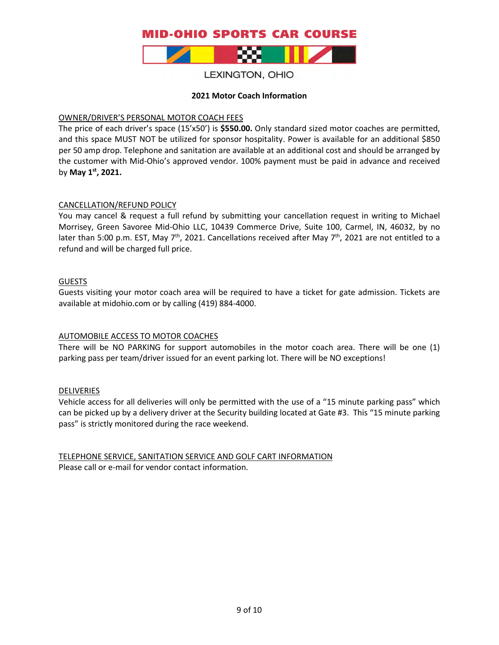

### LEXINGTON, OHIO

#### **2021 Motor Coach Information**

#### OWNER/DRIVER'S PERSONAL MOTOR COACH FEES

The price of each driver's space (15'x50') is **\$550.00.** Only standard sized motor coaches are permitted, and this space MUST NOT be utilized for sponsor hospitality. Power is available for an additional \$850 per 50 amp drop. Telephone and sanitation are available at an additional cost and should be arranged by the customer with Mid-Ohio's approved vendor. 100% payment must be paid in advance and received by **May 1st, 2021.**

#### CANCELLATION/REFUND POLICY

You may cancel & request a full refund by submitting your cancellation request in writing to Michael Morrisey, Green Savoree Mid-Ohio LLC, 10439 Commerce Drive, Suite 100, Carmel, IN, 46032, by no later than 5:00 p.m. EST, May  $7<sup>th</sup>$ , 2021. Cancellations received after May  $7<sup>th</sup>$ , 2021 are not entitled to a refund and will be charged full price.

#### GUESTS

Guests visiting your motor coach area will be required to have a ticket for gate admission. Tickets are available at midohio.com or by calling (419) 884-4000.

### AUTOMOBILE ACCESS TO MOTOR COACHES

There will be NO PARKING for support automobiles in the motor coach area. There will be one (1) parking pass per team/driver issued for an event parking lot. There will be NO exceptions!

#### **DELIVERIES**

Vehicle access for all deliveries will only be permitted with the use of a "15 minute parking pass" which can be picked up by a delivery driver at the Security building located at Gate #3. This "15 minute parking pass" is strictly monitored during the race weekend.

TELEPHONE SERVICE, SANITATION SERVICE AND GOLF CART INFORMATION Please call or e-mail for vendor contact information.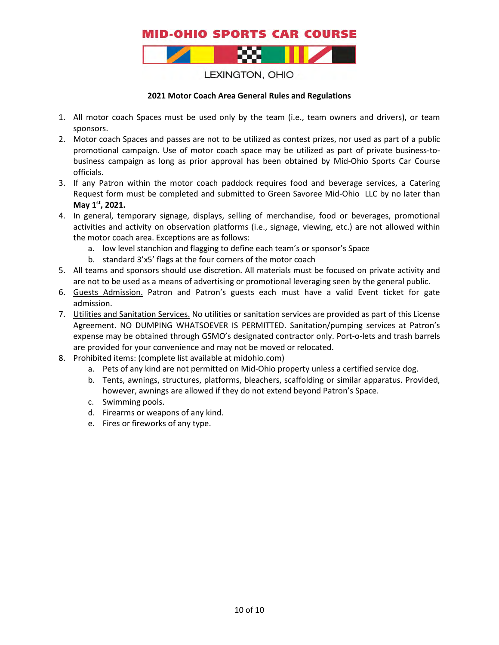

LEXINGTON, OHIO

#### **2021 Motor Coach Area General Rules and Regulations**

- 1. All motor coach Spaces must be used only by the team (i.e., team owners and drivers), or team sponsors.
- 2. Motor coach Spaces and passes are not to be utilized as contest prizes, nor used as part of a public promotional campaign. Use of motor coach space may be utilized as part of private business-tobusiness campaign as long as prior approval has been obtained by Mid-Ohio Sports Car Course officials.
- 3. If any Patron within the motor coach paddock requires food and beverage services, a Catering Request form must be completed and submitted to Green Savoree Mid-Ohio LLC by no later than **May 1st, 2021.**
- 4. In general, temporary signage, displays, selling of merchandise, food or beverages, promotional activities and activity on observation platforms (i.e., signage, viewing, etc.) are not allowed within the motor coach area. Exceptions are as follows:
	- a. low level stanchion and flagging to define each team's or sponsor's Space
	- b. standard 3'x5' flags at the four corners of the motor coach
- 5. All teams and sponsors should use discretion. All materials must be focused on private activity and are not to be used as a means of advertising or promotional leveraging seen by the general public.
- 6. Guests Admission. Patron and Patron's guests each must have a valid Event ticket for gate admission.
- 7. Utilities and Sanitation Services. No utilities or sanitation services are provided as part of this License Agreement. NO DUMPING WHATSOEVER IS PERMITTED. Sanitation/pumping services at Patron's expense may be obtained through GSMO's designated contractor only. Port-o-lets and trash barrels are provided for your convenience and may not be moved or relocated.
- 8. Prohibited items: (complete list available at midohio.com)
	- a. Pets of any kind are not permitted on Mid-Ohio property unless a certified service dog.
	- b. Tents, awnings, structures, platforms, bleachers, scaffolding or similar apparatus. Provided, however, awnings are allowed if they do not extend beyond Patron's Space.
	- c. Swimming pools.
	- d. Firearms or weapons of any kind.
	- e. Fires or fireworks of any type.